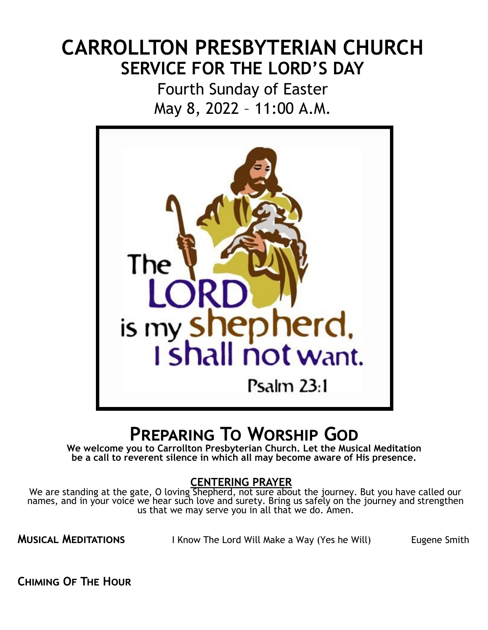# **CARROLLTON PRESBYTERIAN CHURCH SERVICE FOR THE LORD'S DAY**

Fourth Sunday of Easter May 8, 2022 – 11:00 A.M.



# **Preparing To Worship God**

**We welcome you to Carrollton Presbyterian Church. Let the Musical Meditation be a call to reverent silence in which all may become aware of His presence.**

### **CENTERING PRAYER**

We are standing at the gate, O loving Shepherd, not sure about the journey. But you have called our names, and in your voice we hear such love and surety. Bring us safely on the journey and strengthen us that we may serve you in all that we do. Amen.

**MUSICAL MEDITATIONS** I Know The Lord Will Make a Way (Yes he Will) Eugene Smith

**Chiming Of The Hour**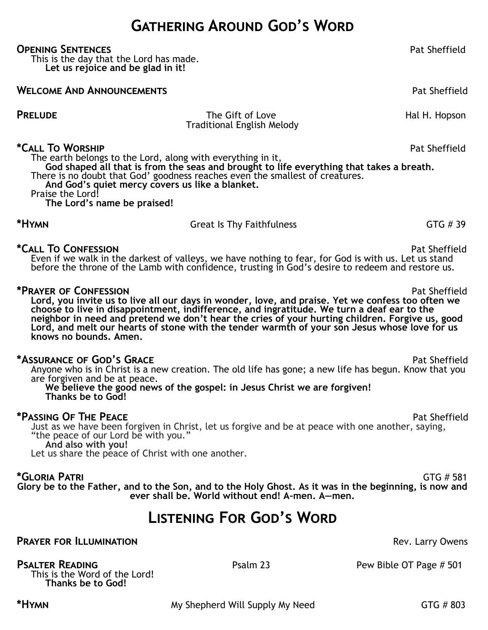## **Gathering Around God's Word**

### **OPENING SENTENCES Pat Sheffield**

This is the day that the Lord has made. **Let us rejoice and be glad in it!**

**WELCOME AND ANNOUNCEMENTS Pat Sheffield** 

**PRELUDE** The Gift of Love Hal H. Hopson Traditional English Melody

### **\*Call To Worship** Pat Sheffield

The earth belongs to the Lord, along with everything in it, **God shaped all that is from the seas and brought to life everything that takes a breath.** There is no doubt that God' goodness reaches even the smallest of creatures. **And God's quiet mercy covers us like a blanket.** Praise the Lord! **The Lord's name be praised!**

**\*Call To Confession** Pat Sheffield Even if we walk in the darkest of valleys, we have nothing to fear, for God is with us. Let us stand before the throne of the Lamb with confidence, trusting in God's desire to redeem and restore us.

\*HYMN **EXECUTE:** Great Is Thy Faithfulness **GTG # 39** 

### **\*Prayer of Confession** Pat Sheffield

**Lord, you invite us to live all our days in wonder, love, and praise. Yet we confess too often we choose to live in disappointment, indifference, and ingratitude. We turn a deaf ear to the neighbor in need and pretend we don't hear the cries of your hurting children. Forgive us, good Lord, and melt our hearts of stone with the tender warmth of your son Jesus whose love for us knows no bounds. Amen.**

### **\*Assurance of God's Grace** Pat Sheffield

Anyone who is in Christ is a new creation. The old life has gone; a new life has begun. Know that you are forgiven and be at peace.

### **We believe the good news of the gospel: in Jesus Christ we are forgiven! Thanks be to God!**

### **\*Passing OF THE PEACE Pat Sheffield**

Just as we have been forgiven in Christ, let us forgive and be at peace with one another, saying, "the peace of our Lord be with you."

**And also with you!**

Let us share the peace of Christ with one another.

**\*Gloria Patri** GTG # 581 **Glory be to the Father, and to the Son, and to the Holy Ghost. As it was in the beginning, is now and ever shall be. World without end! A-men. A—men.**

## **Listening For God's Word**

**PRAYER FOR ILLUMINATION PRAYER FOR ILLUMINATION** 

This is the Word of the Lord! **Thanks be to God!**

**PSALTER READING** Psalm 23 Pew Bible OT Page # 501

\*HYMN **\*Hymn My Shepherd Will Supply My Need** GTG # 803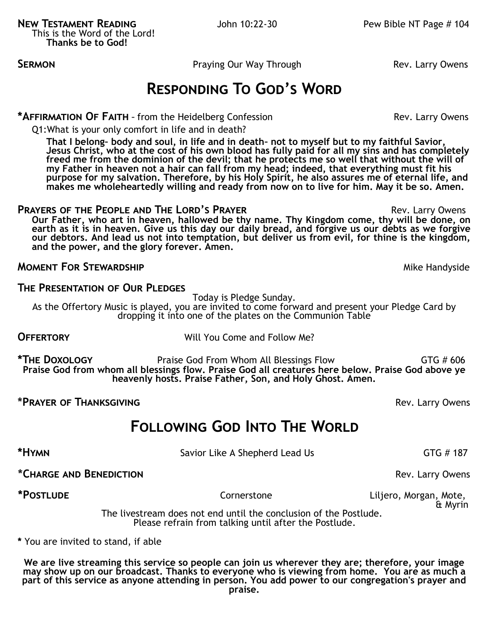**SERMON CONSUMBLE CONSUMED SERMON Praying Our Way Through <b>Rev. Larry Owens** 

## **Responding To God's Word**

### \***AFFIRMATION OF FAITH** - from the Heidelberg Confession **Rev. Larry Owens** Rev. Larry Owens

Q1:What is your only comfort in life and in death?

**That I belong– body and soul, in life and in death– not to myself but to my faithful Savior, Jesus Christ, who at the cost of his own blood has fully paid for all my sins and has completely freed me from the dominion of the devil; that he protects me so well that without the will of my Father in heaven not a hair can fall from my head; indeed, that everything must fit his purpose for my salvation. Therefore, by his Holy Spirit, he also assures me of eternal life, and makes me wholeheartedly willing and ready from now on to live for him. May it be so. Amen.**

### **PRAYERS OF THE PEOPLE AND THE LORD'S PRAYER <b>EXAMPLE 2008** Rev. Larry Owens **Our Father, who art in heaven, hallowed be thy name. Thy Kingdom come, thy will be done, on earth as it is in heaven. Give us this day our daily bread, and forgive us our debts as we forgive our debtors. And lead us not into temptation, but deliver us from evil, for thine is the kingdom, and the power, and the glory forever. Amen.**

### **MOMENT FOR STEWARDSHIP** MOMENT **FOR STEWARDSHIP**

### **The Presentation of Our Pledges**

Today is Pledge Sunday.

As the Offertory Music is played, you are invited to come forward and present your Pledge Card by dropping it into one of the plates on the Communion Table

**OFFERTORY** Will You Come and Follow Me?

**\*The Doxology** Praise God From Whom All Blessings Flow GTG # 606 **Praise God from whom all blessings flow. Praise God all creatures here below. Praise God above ye heavenly hosts. Praise Father, Son, and Holy Ghost. Amen.**

**\*Prayer of Thanksgiving** Rev. Larry Owens

## **Following God Into The World**

**\*HYMN Savior Like A Shepherd Lead Us GTG** # 187

\*CHARGE AND BENEDICTION **EXECUTE:**  $Rev.$  Larry Owens

**\*Postlude** Cornerstone Liljero, Morgan, Mote, & Myrin

 The livestream does not end until the conclusion of the Postlude. Please refrain from talking until after the Postlude.

**\*** You are invited to stand, if able

**We are live streaming this service so people can join us wherever they are; therefore, your image may show up on our broadcast. Thanks to everyone who is viewing from home. You are as much a part of this service as anyone attending in person. You add power to our congregation's prayer and praise.**